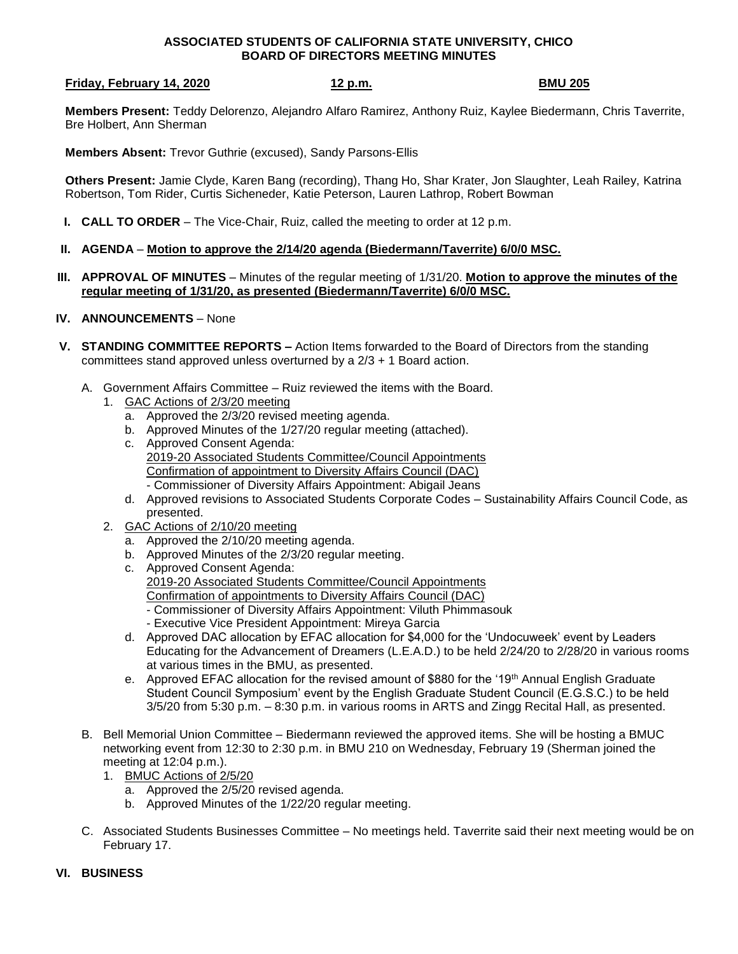## **ASSOCIATED STUDENTS OF CALIFORNIA STATE UNIVERSITY, CHICO BOARD OF DIRECTORS MEETING MINUTES**

## **Friday, February 14, 2020** 12 p.m. 12 p.m.

**Members Present:** Teddy Delorenzo, Alejandro Alfaro Ramirez, Anthony Ruiz, Kaylee Biedermann, Chris Taverrite, Bre Holbert, Ann Sherman

**Members Absent:** Trevor Guthrie (excused), Sandy Parsons-Ellis

**Others Present:** Jamie Clyde, Karen Bang (recording), Thang Ho, Shar Krater, Jon Slaughter, Leah Railey, Katrina Robertson, Tom Rider, Curtis Sicheneder, Katie Peterson, Lauren Lathrop, Robert Bowman

- **I. CALL TO ORDER** The Vice-Chair, Ruiz, called the meeting to order at 12 p.m.
- **II. AGENDA Motion to approve the 2/14/20 agenda (Biedermann/Taverrite) 6/0/0 MSC.**
- **III. APPROVAL OF MINUTES** Minutes of the regular meeting of 1/31/20. **Motion to approve the minutes of the regular meeting of 1/31/20, as presented (Biedermann/Taverrite) 6/0/0 MSC.**
- **IV. ANNOUNCEMENTS** None
- **V. STANDING COMMITTEE REPORTS –** Action Items forwarded to the Board of Directors from the standing committees stand approved unless overturned by a 2/3 + 1 Board action.
	- A. Government Affairs Committee Ruiz reviewed the items with the Board.
		- 1. GAC Actions of 2/3/20 meeting
			- a. Approved the 2/3/20 revised meeting agenda.
			- b. Approved Minutes of the 1/27/20 regular meeting (attached).
			- c. Approved Consent Agenda: 2019-20 Associated Students Committee/Council Appointments Confirmation of appointment to Diversity Affairs Council (DAC) - Commissioner of Diversity Affairs Appointment: Abigail Jeans
			- d. Approved revisions to Associated Students Corporate Codes Sustainability Affairs Council Code, as presented.
		- 2. GAC Actions of 2/10/20 meeting
			- a. Approved the 2/10/20 meeting agenda.
			- b. Approved Minutes of the 2/3/20 regular meeting.
			- c. Approved Consent Agenda: 2019-20 Associated Students Committee/Council Appointments Confirmation of appointments to Diversity Affairs Council (DAC) - Commissioner of Diversity Affairs Appointment: Viluth Phimmasouk - Executive Vice President Appointment: Mireya Garcia
			- d. Approved DAC allocation by EFAC allocation for \$4,000 for the 'Undocuweek' event by Leaders Educating for the Advancement of Dreamers (L.E.A.D.) to be held 2/24/20 to 2/28/20 in various rooms at various times in the BMU, as presented.
			- e. Approved EFAC allocation for the revised amount of \$880 for the '19<sup>th</sup> Annual English Graduate Student Council Symposium' event by the English Graduate Student Council (E.G.S.C.) to be held 3/5/20 from 5:30 p.m. – 8:30 p.m. in various rooms in ARTS and Zingg Recital Hall, as presented.
	- B. Bell Memorial Union Committee Biedermann reviewed the approved items. She will be hosting a BMUC networking event from 12:30 to 2:30 p.m. in BMU 210 on Wednesday, February 19 (Sherman joined the meeting at 12:04 p.m.).
		- 1. BMUC Actions of 2/5/20
			- a. Approved the 2/5/20 revised agenda.
			- b. Approved Minutes of the 1/22/20 regular meeting.
	- C. Associated Students Businesses Committee No meetings held. Taverrite said their next meeting would be on February 17.
- **VI. BUSINESS**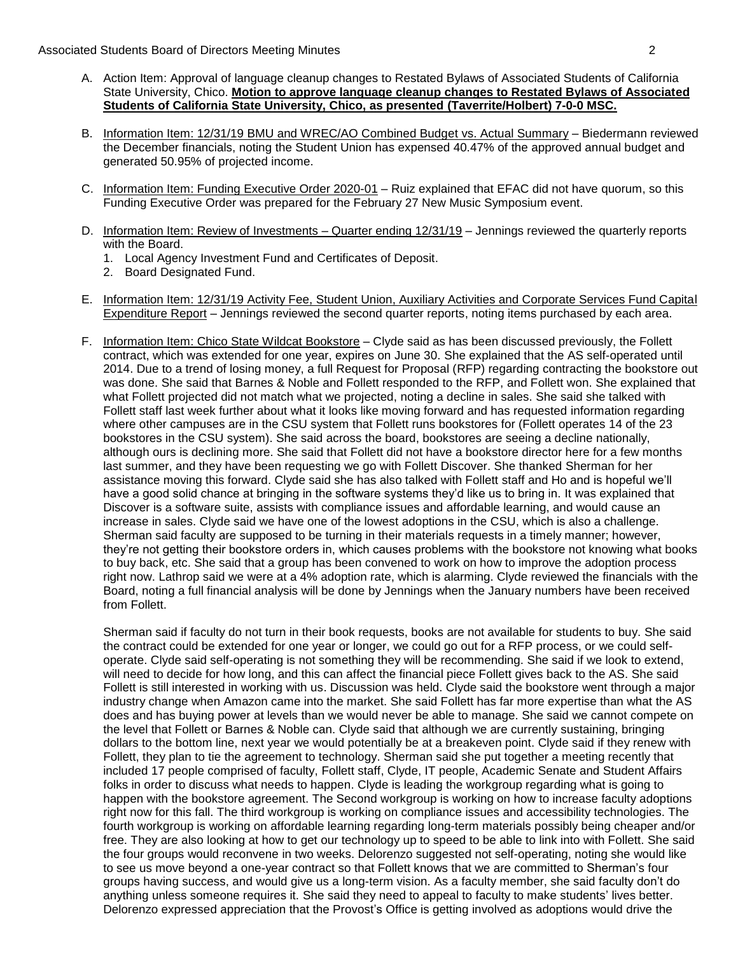- A. Action Item: Approval of language cleanup changes to Restated Bylaws of Associated Students of California State University, Chico. **Motion to approve language cleanup changes to Restated Bylaws of Associated Students of California State University, Chico, as presented (Taverrite/Holbert) 7-0-0 MSC.**
- B. Information Item: 12/31/19 BMU and WREC/AO Combined Budget vs. Actual Summary Biedermann reviewed the December financials, noting the Student Union has expensed 40.47% of the approved annual budget and generated 50.95% of projected income.
- C. Information Item: Funding Executive Order 2020-01 Ruiz explained that EFAC did not have quorum, so this Funding Executive Order was prepared for the February 27 New Music Symposium event.
- D. Information Item: Review of Investments Quarter ending  $12/31/19$  Jennings reviewed the quarterly reports with the Board.
	- 1. Local Agency Investment Fund and Certificates of Deposit.
	- 2. Board Designated Fund.
- E. Information Item: 12/31/19 Activity Fee, Student Union, Auxiliary Activities and Corporate Services Fund Capital Expenditure Report – Jennings reviewed the second quarter reports, noting items purchased by each area.
- F. Information Item: Chico State Wildcat Bookstore Clyde said as has been discussed previously, the Follett contract, which was extended for one year, expires on June 30. She explained that the AS self-operated until 2014. Due to a trend of losing money, a full Request for Proposal (RFP) regarding contracting the bookstore out was done. She said that Barnes & Noble and Follett responded to the RFP, and Follett won. She explained that what Follett projected did not match what we projected, noting a decline in sales. She said she talked with Follett staff last week further about what it looks like moving forward and has requested information regarding where other campuses are in the CSU system that Follett runs bookstores for (Follett operates 14 of the 23 bookstores in the CSU system). She said across the board, bookstores are seeing a decline nationally, although ours is declining more. She said that Follett did not have a bookstore director here for a few months last summer, and they have been requesting we go with Follett Discover. She thanked Sherman for her assistance moving this forward. Clyde said she has also talked with Follett staff and Ho and is hopeful we'll have a good solid chance at bringing in the software systems they'd like us to bring in. It was explained that Discover is a software suite, assists with compliance issues and affordable learning, and would cause an increase in sales. Clyde said we have one of the lowest adoptions in the CSU, which is also a challenge. Sherman said faculty are supposed to be turning in their materials requests in a timely manner; however, they're not getting their bookstore orders in, which causes problems with the bookstore not knowing what books to buy back, etc. She said that a group has been convened to work on how to improve the adoption process right now. Lathrop said we were at a 4% adoption rate, which is alarming. Clyde reviewed the financials with the Board, noting a full financial analysis will be done by Jennings when the January numbers have been received from Follett.

Sherman said if faculty do not turn in their book requests, books are not available for students to buy. She said the contract could be extended for one year or longer, we could go out for a RFP process, or we could selfoperate. Clyde said self-operating is not something they will be recommending. She said if we look to extend, will need to decide for how long, and this can affect the financial piece Follett gives back to the AS. She said Follett is still interested in working with us. Discussion was held. Clyde said the bookstore went through a major industry change when Amazon came into the market. She said Follett has far more expertise than what the AS does and has buying power at levels than we would never be able to manage. She said we cannot compete on the level that Follett or Barnes & Noble can. Clyde said that although we are currently sustaining, bringing dollars to the bottom line, next year we would potentially be at a breakeven point. Clyde said if they renew with Follett, they plan to tie the agreement to technology. Sherman said she put together a meeting recently that included 17 people comprised of faculty, Follett staff, Clyde, IT people, Academic Senate and Student Affairs folks in order to discuss what needs to happen. Clyde is leading the workgroup regarding what is going to happen with the bookstore agreement. The Second workgroup is working on how to increase faculty adoptions right now for this fall. The third workgroup is working on compliance issues and accessibility technologies. The fourth workgroup is working on affordable learning regarding long-term materials possibly being cheaper and/or free. They are also looking at how to get our technology up to speed to be able to link into with Follett. She said the four groups would reconvene in two weeks. Delorenzo suggested not self-operating, noting she would like to see us move beyond a one-year contract so that Follett knows that we are committed to Sherman's four groups having success, and would give us a long-term vision. As a faculty member, she said faculty don't do anything unless someone requires it. She said they need to appeal to faculty to make students' lives better. Delorenzo expressed appreciation that the Provost's Office is getting involved as adoptions would drive the